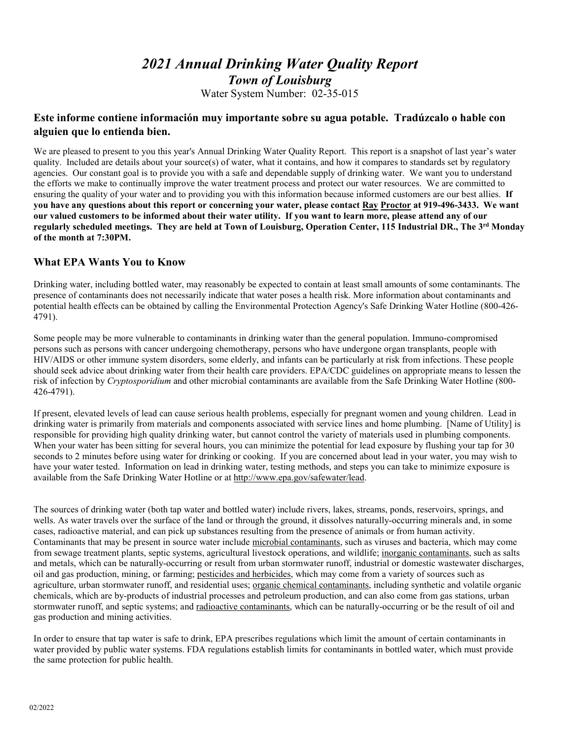# *2021 Annual Drinking Water Quality Report Town of Louisburg* Water System Number: 02-35-015

# **Este informe contiene información muy importante sobre su agua potable. Tradúzcalo o hable con alguien que lo entienda bien.**

We are pleased to present to you this year's Annual Drinking Water Quality Report. This report is a snapshot of last year's water quality. Included are details about your source(s) of water, what it contains, and how it compares to standards set by regulatory agencies. Our constant goal is to provide you with a safe and dependable supply of drinking water. We want you to understand the efforts we make to continually improve the water treatment process and protect our water resources. We are committed to ensuring the quality of your water and to providing you with this information because informed customers are our best allies. **If you have any questions about this report or concerning your water, please contact Ray Proctor at 919-496-3433. We want our valued customers to be informed about their water utility. If you want to learn more, please attend any of our regularly scheduled meetings. They are held at Town of Louisburg, Operation Center, 115 Industrial DR., The 3rd Monday of the month at 7:30PM.**

# **What EPA Wants You to Know**

Drinking water, including bottled water, may reasonably be expected to contain at least small amounts of some contaminants. The presence of contaminants does not necessarily indicate that water poses a health risk. More information about contaminants and potential health effects can be obtained by calling the Environmental Protection Agency's Safe Drinking Water Hotline (800-426- 4791).

Some people may be more vulnerable to contaminants in drinking water than the general population. Immuno-compromised persons such as persons with cancer undergoing chemotherapy, persons who have undergone organ transplants, people with HIV/AIDS or other immune system disorders, some elderly, and infants can be particularly at risk from infections. These people should seek advice about drinking water from their health care providers. EPA/CDC guidelines on appropriate means to lessen the risk of infection by *Cryptosporidium* and other microbial contaminants are available from the Safe Drinking Water Hotline (800- 426-4791).

If present, elevated levels of lead can cause serious health problems, especially for pregnant women and young children. Lead in drinking water is primarily from materials and components associated with service lines and home plumbing. [Name of Utility] is responsible for providing high quality drinking water, but cannot control the variety of materials used in plumbing components. When your water has been sitting for several hours, you can minimize the potential for lead exposure by flushing your tap for 30 seconds to 2 minutes before using water for drinking or cooking. If you are concerned about lead in your water, you may wish to have your water tested. Information on lead in drinking water, testing methods, and steps you can take to minimize exposure is available from the Safe Drinking Water Hotline or at [http://www.epa.gov/safewater/lead.](http://www.epa.gov/safewater/lead)

The sources of drinking water (both tap water and bottled water) include rivers, lakes, streams, ponds, reservoirs, springs, and wells. As water travels over the surface of the land or through the ground, it dissolves naturally-occurring minerals and, in some cases, radioactive material, and can pick up substances resulting from the presence of animals or from human activity. Contaminants that may be present in source water include microbial contaminants, such as viruses and bacteria, which may come from sewage treatment plants, septic systems, agricultural livestock operations, and wildlife; inorganic contaminants, such as salts and metals, which can be naturally-occurring or result from urban stormwater runoff, industrial or domestic wastewater discharges, oil and gas production, mining, or farming; pesticides and herbicides, which may come from a variety of sources such as agriculture, urban stormwater runoff, and residential uses; organic chemical contaminants, including synthetic and volatile organic chemicals, which are by-products of industrial processes and petroleum production, and can also come from gas stations, urban stormwater runoff, and septic systems; and radioactive contaminants, which can be naturally-occurring or be the result of oil and gas production and mining activities.

In order to ensure that tap water is safe to drink, EPA prescribes regulations which limit the amount of certain contaminants in water provided by public water systems. FDA regulations establish limits for contaminants in bottled water, which must provide the same protection for public health.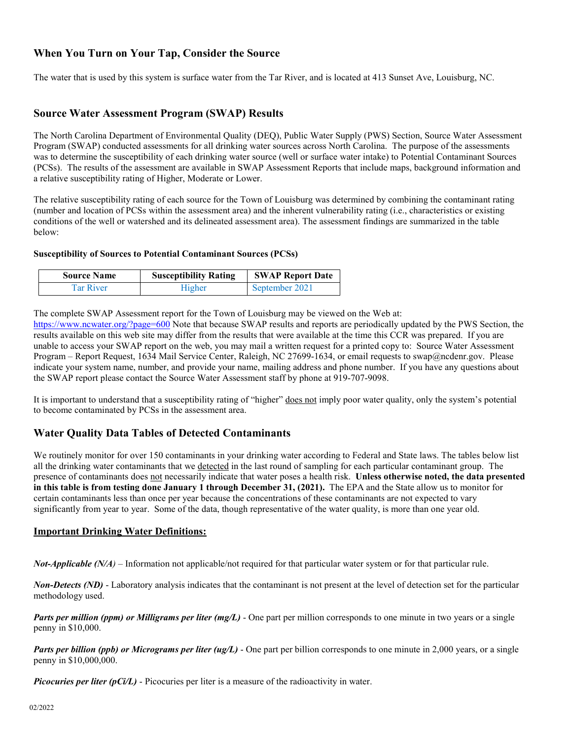# **When You Turn on Your Tap, Consider the Source**

The water that is used by this system is surface water from the Tar River, and is located at 413 Sunset Ave, Louisburg, NC.

# **Source Water Assessment Program (SWAP) Results**

The North Carolina Department of Environmental Quality (DEQ), Public Water Supply (PWS) Section, Source Water Assessment Program (SWAP) conducted assessments for all drinking water sources across North Carolina. The purpose of the assessments was to determine the susceptibility of each drinking water source (well or surface water intake) to Potential Contaminant Sources (PCSs). The results of the assessment are available in SWAP Assessment Reports that include maps, background information and a relative susceptibility rating of Higher, Moderate or Lower.

The relative susceptibility rating of each source for the Town of Louisburg was determined by combining the contaminant rating (number and location of PCSs within the assessment area) and the inherent vulnerability rating (i.e., characteristics or existing conditions of the well or watershed and its delineated assessment area). The assessment findings are summarized in the table below:

#### **Susceptibility of Sources to Potential Contaminant Sources (PCSs)**

| <b>Source Name</b> | <b>Susceptibility Rating</b> | <b>SWAP Report Date</b> |
|--------------------|------------------------------|-------------------------|
| Tar River          | Higher                       | September 2021          |

The complete SWAP Assessment report for the Town of Louisburg may be viewed on the Web at:

<https://www.ncwater.org/?page=600> Note that because SWAP results and reports are periodically updated by the PWS Section, the results available on this web site may differ from the results that were available at the time this CCR was prepared. If you are unable to access your SWAP report on the web, you may mail a written request for a printed copy to: Source Water Assessment Program – Report Request, 1634 Mail Service Center, Raleigh, NC 27699-1634, or email requests to swap@ncdenr.gov. Please indicate your system name, number, and provide your name, mailing address and phone number. If you have any questions about the SWAP report please contact the Source Water Assessment staff by phone at 919-707-9098.

It is important to understand that a susceptibility rating of "higher" does not imply poor water quality, only the system's potential to become contaminated by PCSs in the assessment area.

# **Water Quality Data Tables of Detected Contaminants**

We routinely monitor for over 150 contaminants in your drinking water according to Federal and State laws. The tables below list all the drinking water contaminants that we detected in the last round of sampling for each particular contaminant group. The presence of contaminants does not necessarily indicate that water poses a health risk. **Unless otherwise noted, the data presented in this table is from testing done January 1 through December 31, (2021).** The EPA and the State allow us to monitor for certain contaminants less than once per year because the concentrations of these contaminants are not expected to vary significantly from year to year. Some of the data, though representative of the water quality, is more than one year old.

#### **Important Drinking Water Definitions:**

*Not-Applicable (N/A)* – Information not applicable/not required for that particular water system or for that particular rule.

*Non-Detects (ND)* - Laboratory analysis indicates that the contaminant is not present at the level of detection set for the particular methodology used.

*Parts per million (ppm) or Milligrams per liter (mg/L)* - One part per million corresponds to one minute in two years or a single penny in \$10,000.

*Parts per billion (ppb) or Micrograms per liter (ug/L)* - One part per billion corresponds to one minute in 2,000 years, or a single penny in \$10,000,000.

*Picocuries per liter (pCi/L)* - Picocuries per liter is a measure of the radioactivity in water.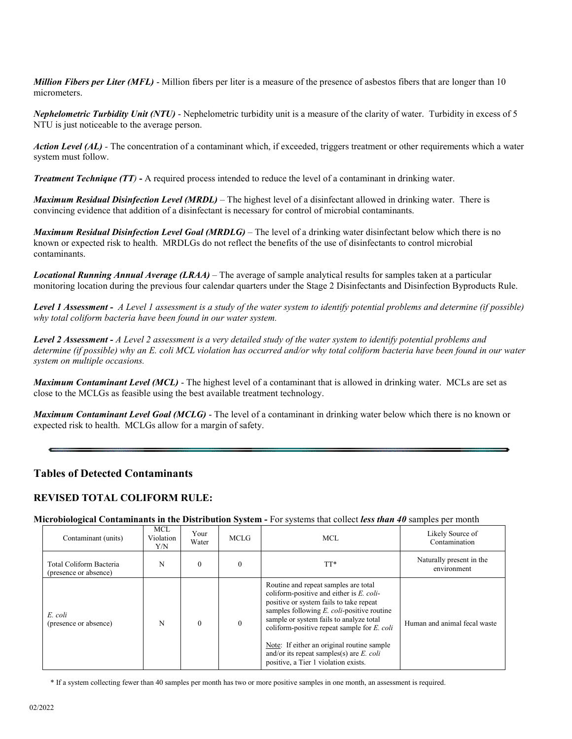*Million Fibers per Liter (MFL)* - Million fibers per liter is a measure of the presence of asbestos fibers that are longer than 10 micrometers.

*Nephelometric Turbidity Unit (NTU)* - Nephelometric turbidity unit is a measure of the clarity of water. Turbidity in excess of 5 NTU is just noticeable to the average person.

*Action Level (AL) -* The concentration of a contaminant which, if exceeded, triggers treatment or other requirements which a water system must follow.

*Treatment Technique (TT)* **-** A required process intended to reduce the level of a contaminant in drinking water.

*Maximum Residual Disinfection Level (MRDL)* – The highest level of a disinfectant allowed in drinking water. There is convincing evidence that addition of a disinfectant is necessary for control of microbial contaminants.

*Maximum Residual Disinfection Level Goal (MRDLG)* – The level of a drinking water disinfectant below which there is no known or expected risk to health. MRDLGs do not reflect the benefits of the use of disinfectants to control microbial contaminants.

*Locational Running Annual Average (LRAA)* – The average of sample analytical results for samples taken at a particular monitoring location during the previous four calendar quarters under the Stage 2 Disinfectants and Disinfection Byproducts Rule.

*Level 1 Assessment - A Level 1 assessment is a study of the water system to identify potential problems and determine (if possible) why total coliform bacteria have been found in our water system.*

*Level 2 Assessment - A Level 2 assessment is a very detailed study of the water system to identify potential problems and determine (if possible) why an E. coli MCL violation has occurred and/or why total coliform bacteria have been found in our water system on multiple occasions.*

*Maximum Contaminant Level (MCL)* - The highest level of a contaminant that is allowed in drinking water. MCLs are set as close to the MCLGs as feasible using the best available treatment technology.

*Maximum Contaminant Level Goal (MCLG)* - The level of a contaminant in drinking water below which there is no known or expected risk to health. MCLGs allow for a margin of safety.

# **Tables of Detected Contaminants**

### **REVISED TOTAL COLIFORM RULE:**

**Microbiological Contaminants in the Distribution System -** For systems that collect *less than 40* samples per month

| Contaminant (units)                              | MCL<br>Violation<br>Y/N | Your<br>Water | MCLG         | MCL.                                                                                                                                                                                                                                                                                                                                                                                                                      | Likely Source of<br>Contamination       |
|--------------------------------------------------|-------------------------|---------------|--------------|---------------------------------------------------------------------------------------------------------------------------------------------------------------------------------------------------------------------------------------------------------------------------------------------------------------------------------------------------------------------------------------------------------------------------|-----------------------------------------|
| Total Coliform Bacteria<br>(presence or absence) | N                       | $\Omega$      | $\theta$     | TT*                                                                                                                                                                                                                                                                                                                                                                                                                       | Naturally present in the<br>environment |
| E. coli<br>(presence or absence)                 | N                       | $\Omega$      | $\mathbf{0}$ | Routine and repeat samples are total<br>coliform-positive and either is $E$ . coli-<br>positive or system fails to take repeat<br>samples following $E$ . <i>coli</i> -positive routine<br>sample or system fails to analyze total<br>coliform-positive repeat sample for $E$ , coli<br>Note: If either an original routine sample<br>and/or its repeat samples(s) are $E$ . coli<br>positive, a Tier 1 violation exists. | Human and animal fecal waste            |

\* If a system collecting fewer than 40 samples per month has two or more positive samples in one month, an assessment is required.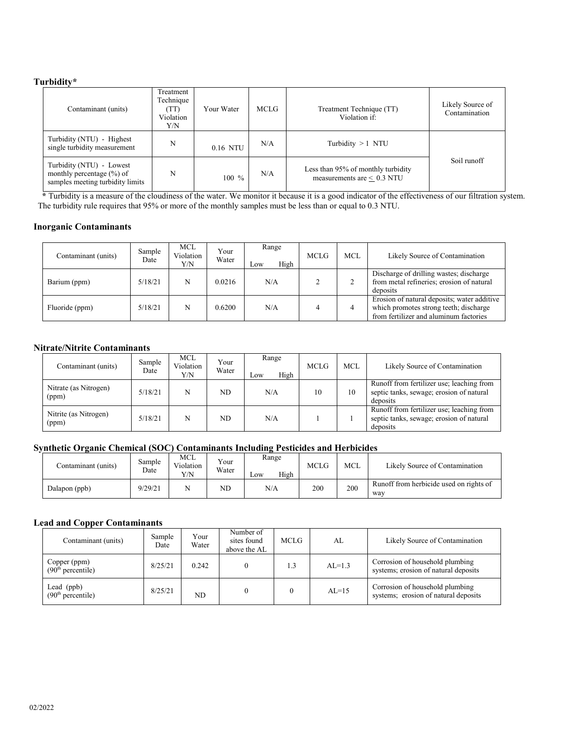#### **Turbidity\***

| Contaminant (units)                                                                           | Treatment<br>Technique<br>(TT)<br>Violation<br>Y/N | Your Water | <b>MCLG</b> | Treatment Technique (TT)<br>Violation if:                             | Likely Source of<br>Contamination |
|-----------------------------------------------------------------------------------------------|----------------------------------------------------|------------|-------------|-----------------------------------------------------------------------|-----------------------------------|
| Turbidity (NTU) - Highest<br>single turbidity measurement                                     | N                                                  | 0.16 NTU   | N/A         | Turbidity $>1$ NTU                                                    |                                   |
| Turbidity (NTU) - Lowest<br>monthly percentage $(\% )$ of<br>samples meeting turbidity limits | N                                                  | $100\%$    | N/A         | Less than 95% of monthly turbidity<br>measurements are $\leq 0.3$ NTU | Soil runoff                       |

 **\*** Turbidity is a measure of the cloudiness of the water. We monitor it because it is a good indicator of the effectiveness of our filtration system. The turbidity rule requires that 95% or more of the monthly samples must be less than or equal to 0.3 NTU.

#### **Inorganic Contaminants**

| Contaminant (units) | Sample<br>Date | MCL<br>Violation<br>Y/N | Your<br>Water | Range<br>High<br>Low | <b>MCLG</b> | <b>MCL</b> | Likely Source of Contamination                                                                                                  |
|---------------------|----------------|-------------------------|---------------|----------------------|-------------|------------|---------------------------------------------------------------------------------------------------------------------------------|
| Barium (ppm)        | 5/18/21        | N                       | 0.0216        | N/A                  |             |            | Discharge of drilling wastes; discharge<br>from metal refineries; erosion of natural<br>deposits                                |
| Fluoride (ppm)      | 5/18/21        | N                       | 0.6200        | N/A                  |             |            | Erosion of natural deposits; water additive<br>which promotes strong teeth; discharge<br>from fertilizer and aluminum factories |

#### **Nitrate/Nitrite Contaminants**

| Contaminant (units)            | Sample<br>Date | MCL<br>Violation<br>Y/N | Your<br>Water | Range<br>High<br>LOW | <b>MCLG</b> | MCL | Likely Source of Contamination                                                                    |
|--------------------------------|----------------|-------------------------|---------------|----------------------|-------------|-----|---------------------------------------------------------------------------------------------------|
| Nitrate (as Nitrogen)<br>(ppm) | 5/18/21        | N                       | ND.           | N/A                  | 10          | 10  | Runoff from fertilizer use; leaching from<br>septic tanks, sewage; erosion of natural<br>deposits |
| Nitrite (as Nitrogen)<br>(ppm) | 5/18/21        | N                       | ND            | N/A                  |             |     | Runoff from fertilizer use; leaching from<br>septic tanks, sewage; erosion of natural<br>deposits |

# **Synthetic Organic Chemical (SOC) Contaminants Including Pesticides and Herbicides**

| Contaminant (units) | Sample<br>Date | MCL<br>Violation<br>V/N | Your<br>Water | Range<br>High<br>$_{\rm \sim 0W}$ | MCLG | MCL | Likely Source of Contamination                 |
|---------------------|----------------|-------------------------|---------------|-----------------------------------|------|-----|------------------------------------------------|
| Dalapon (ppb)       | 9/29/21        |                         | ND            | N/A                               | 200  | 200 | Runoff from herbicide used on rights of<br>way |

#### **Lead and Copper Contaminants**

| Contaminant (units)                           | Sample<br>Date | Your<br>Water | Number of<br>sites found<br>above the AL | <b>MCLG</b> | AL       | Likely Source of Contamination                                          |
|-----------------------------------------------|----------------|---------------|------------------------------------------|-------------|----------|-------------------------------------------------------------------------|
| Copper (ppm)<br>(90 <sup>th</sup> percentile) | 8/25/21        | 0.242         |                                          |             | $AL=1.3$ | Corrosion of household plumbing<br>systems; erosion of natural deposits |
| Lead (ppb)<br>(90 <sup>th</sup> percentile)   | 8/25/21        | ND            |                                          |             | $AL=15$  | Corrosion of household plumbing<br>systems; erosion of natural deposits |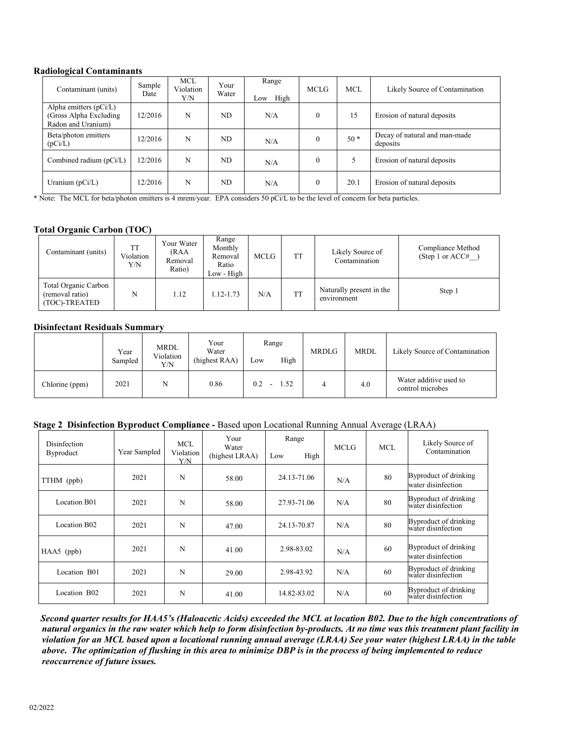#### **Radiological Contaminants**

| $\cdot$<br>Contaminant (units)                                            | Sample<br>Date | <b>MCL</b><br>Violation<br>Y/N | Your<br>Water | Range<br>High<br>Low | <b>MCLG</b>      | <b>MCL</b> | Likely Source of Contamination            |
|---------------------------------------------------------------------------|----------------|--------------------------------|---------------|----------------------|------------------|------------|-------------------------------------------|
| Alpha emitters $(pCi/L)$<br>(Gross Alpha Excluding)<br>Radon and Uranium) | 12/2016        | N                              | ND            | N/A                  | $\boldsymbol{0}$ | 15         | Erosion of natural deposits               |
| Beta/photon emitters<br>(pCi/L)                                           | 12/2016        | N                              | ND            | N/A                  | $\mathbf{0}$     | $50*$      | Decay of natural and man-made<br>deposits |
| Combined radium (pCi/L)                                                   | 12/2016        | N                              | ND            | N/A                  | $\theta$         |            | Erosion of natural deposits               |
| Uranium $(pCi/L)$                                                         | 12/2016        | N                              | ND            | N/A                  | $\mathbf{0}$     | 20.1       | Erosion of natural deposits               |

\* Note: The MCL for beta/photon emitters is 4 mrem/year. EPA considers 50 pCi/L to be the level of concern for beta particles.

### **Total Organic Carbon (TOC)**

| Contaminant (units)                                      | Violation<br>Y/N | Your Water<br>(RAA<br>Removal<br>Ratio) | Range<br>Monthly<br>Removal<br>Ratio<br>Low - High | <b>MCLG</b> | <b>TT</b> | Likely Source of<br>Contamination       | Compliance Method<br>(Step 1 or $ACC\#$ |
|----------------------------------------------------------|------------------|-----------------------------------------|----------------------------------------------------|-------------|-----------|-----------------------------------------|-----------------------------------------|
| Total Organic Carbon<br>(removal ratio)<br>(TOC)-TREATED | N                | 1.12                                    | 1.12-1.73                                          | N/A         | <b>TT</b> | Naturally present in the<br>environment | Step 1                                  |

#### **Disinfectant Residuals Summary**

|                | Year<br>Sampled | <b>MRDL</b><br>Violation<br>Y/N | Your<br>Water<br>(highest RAA) | Range<br>High<br>Low | MRDLG | <b>MRDL</b> | Likely Source of Contamination             |
|----------------|-----------------|---------------------------------|--------------------------------|----------------------|-------|-------------|--------------------------------------------|
| Chlorine (ppm) | 2021            | N                               | 0.86                           | 0.2<br>1.52          |       | 4.0         | Water additive used to<br>control microbes |

#### **Stage 2 Disinfection Byproduct Compliance -** Based upon Locational Running Annual Average (LRAA)

| Disinfection<br><b>Byproduct</b> | Year Sampled | MCL.<br>Violation<br>Y/N | Your<br>Water<br>(highest LRAA) | Range<br>High<br>Low | MCLG | MCL | Likely Source of<br>Contamination           |
|----------------------------------|--------------|--------------------------|---------------------------------|----------------------|------|-----|---------------------------------------------|
| TTHM (ppb)                       | 2021         | N                        | 58.00                           | 24.13-71.06          | N/A  | 80  | Byproduct of drinking<br>water disinfection |
| Location B01                     | 2021         | N                        | 58.00                           | 27.93-71.06          | N/A  | 80  | Byproduct of drinking<br>water disinfection |
| Location B02                     | 2021         | N                        | 47.00                           | 24.13-70.87          | N/A  | 80  | Byproduct of drinking<br>water disinfection |
| $HAA5$ (ppb)                     | 2021         | N                        | 41.00                           | 2.98-83.02           | N/A  | 60  | Byproduct of drinking<br>water disinfection |
| Location B01                     | 2021         | N                        | 29.00                           | 2.98-43.92           | N/A  | 60  | Byproduct of drinking<br>water disinfection |
| Location B02                     | 2021         | N                        | 41.00                           | 14.82-83.02          | N/A  | 60  | Byproduct of drinking<br>water disinfection |

 *Second quarter results for HAA5's (Haloacetic Acids) exceeded the MCL at location B02. Due to the high concentrations of natural organics in the raw water which help to form disinfection by-products. At no time was this treatment plant facility in violation for an MCL based upon a locational running annual average (LRAA) See your water (highest LRAA) in the table above***.** *The optimization of flushing in this area to minimize DBP is in the process of being implemented to reduce reoccurrence of future issues.*